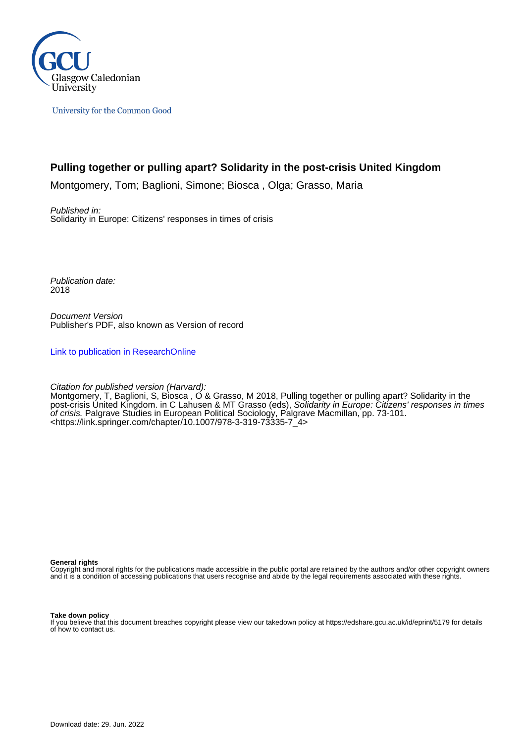

University for the Common Good

## **Pulling together or pulling apart? Solidarity in the post-crisis United Kingdom**

Montgomery, Tom; Baglioni, Simone; Biosca , Olga; Grasso, Maria

Published in: Solidarity in Europe: Citizens' responses in times of crisis

Publication date: 2018

Document Version Publisher's PDF, also known as Version of record

[Link to publication in ResearchOnline](https://researchonline.gcu.ac.uk/en/publications/9f04c4a6-3181-4f76-9300-9548afc72f22)

Citation for published version (Harvard):

Montgomery, T, Baglioni, S, Biosca , O & Grasso, M 2018, Pulling together or pulling apart? Solidarity in the post-crisis United Kingdom. in C Lahusen & MT Grasso (eds), Solidarity in Europe: Citizens' responses in times of crisis. Palgrave Studies in European Political Sociology, Palgrave Macmillan, pp. 73-101. <[https://link.springer.com/chapter/10.1007/978-3-319-73335-7\\_4>](https://link.springer.com/chapter/10.1007/978-3-319-73335-7_4)

**General rights**

Copyright and moral rights for the publications made accessible in the public portal are retained by the authors and/or other copyright owners and it is a condition of accessing publications that users recognise and abide by the legal requirements associated with these rights.

#### **Take down policy**

If you believe that this document breaches copyright please view our takedown policy at https://edshare.gcu.ac.uk/id/eprint/5179 for details of how to contact us.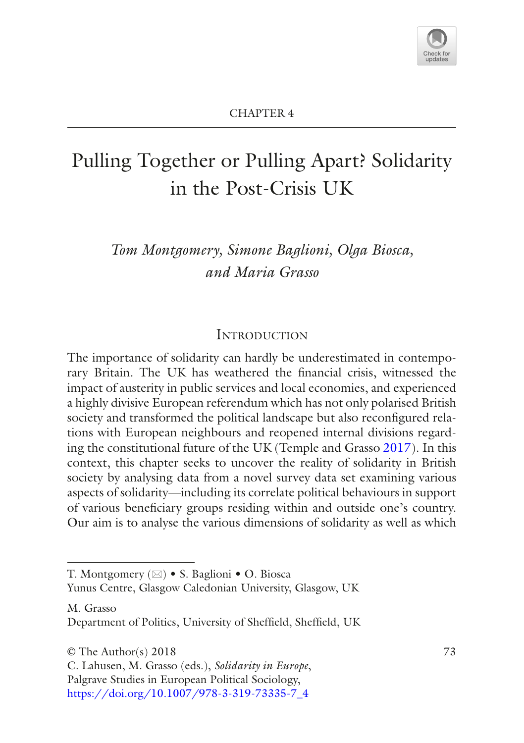

# Pulling Together or Pulling Apart? Solidarity in the Post-Crisis UK

*Tom Montgomery, Simone Baglioni, Olga Biosca, and Maria Grasso*

## **INTRODUCTION**

The importance of solidarity can hardly be underestimated in contemporary Britain. The UK has weathered the financial crisis, witnessed the impact of austerity in public services and local economies, and experienced a highly divisive European referendum which has not only polarised British society and transformed the political landscape but also reconfigured relations with European neighbours and reopened internal divisions regarding the constitutional future of the UK (Temple and Grasso [2017](#page-28-0)). In this context, this chapter seeks to uncover the reality of solidarity in British society by analysing data from a novel survey data set examining various aspects of solidarity—including its correlate political behaviours in support of various beneficiary groups residing within and outside one's country. Our aim is to analyse the various dimensions of solidarity as well as which

T. Montgomery  $(\boxtimes) \bullet S$ . Baglioni  $\bullet$  O. Biosca

Yunus Centre, Glasgow Caledonian University, Glasgow, UK

M. Grasso Department of Politics, University of Sheffield, Sheffield, UK

 $\circ$  The Author(s) 2018 73

C. Lahusen, M. Grasso (eds.), *Solidarity in Europe*, Palgrave Studies in European Political Sociology, [https://doi.org/10.1007/978-3-319-73335-7\\_4](https://doi.org/10.1007/978-3-319-73335-7_4)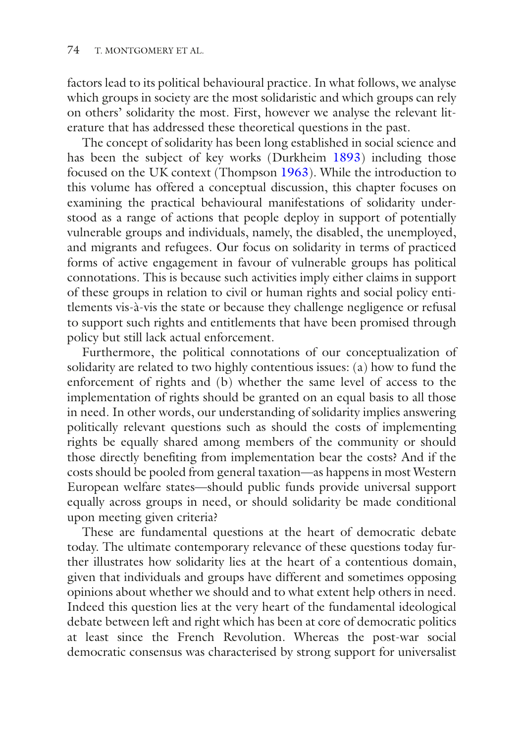factors lead to its political behavioural practice. In what follows, we analyse which groups in society are the most solidaristic and which groups can rely on others' solidarity the most. First, however we analyse the relevant literature that has addressed these theoretical questions in the past.

The concept of solidarity has been long established in social science and has been the subject of key works (Durkheim [1893](#page-25-0)) including those focused on the UK context (Thompson [1963](#page-28-1)). While the introduction to this volume has offered a conceptual discussion, this chapter focuses on examining the practical behavioural manifestations of solidarity understood as a range of actions that people deploy in support of potentially vulnerable groups and individuals, namely, the disabled, the unemployed, and migrants and refugees. Our focus on solidarity in terms of practiced forms of active engagement in favour of vulnerable groups has political connotations. This is because such activities imply either claims in support of these groups in relation to civil or human rights and social policy entitlements vis-à-vis the state or because they challenge negligence or refusal to support such rights and entitlements that have been promised through policy but still lack actual enforcement.

Furthermore, the political connotations of our conceptualization of solidarity are related to two highly contentious issues: (a) how to fund the enforcement of rights and (b) whether the same level of access to the implementation of rights should be granted on an equal basis to all those in need. In other words, our understanding of solidarity implies answering politically relevant questions such as should the costs of implementing rights be equally shared among members of the community or should those directly benefiting from implementation bear the costs? And if the costs should be pooled from general taxation—as happens in most Western European welfare states—should public funds provide universal support equally across groups in need, or should solidarity be made conditional upon meeting given criteria?

These are fundamental questions at the heart of democratic debate today. The ultimate contemporary relevance of these questions today further illustrates how solidarity lies at the heart of a contentious domain, given that individuals and groups have different and sometimes opposing opinions about whether we should and to what extent help others in need. Indeed this question lies at the very heart of the fundamental ideological debate between left and right which has been at core of democratic politics at least since the French Revolution. Whereas the post-war social democratic consensus was characterised by strong support for universalist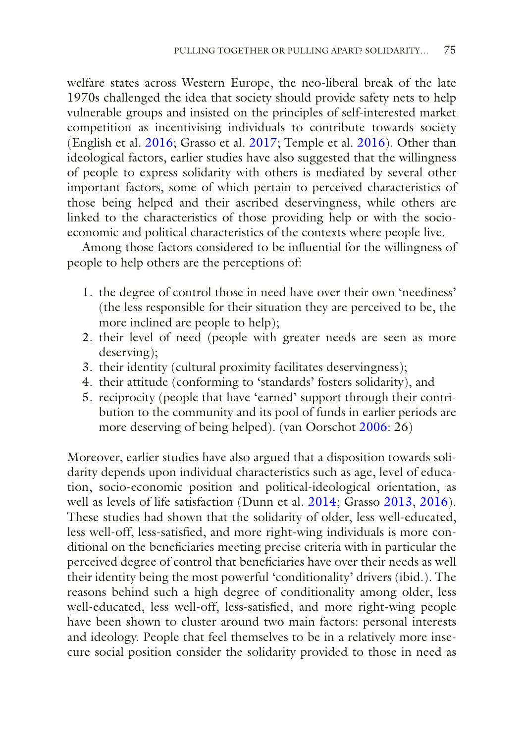welfare states across Western Europe, the neo-liberal break of the late 1970s challenged the idea that society should provide safety nets to help vulnerable groups and insisted on the principles of self-interested market competition as incentivising individuals to contribute towards society (English et al. [2016;](#page-25-1) Grasso et al. [2017](#page-26-0); Temple et al. [2016\)](#page-28-2). Other than ideological factors, earlier studies have also suggested that the willingness of people to express solidarity with others is mediated by several other important factors, some of which pertain to perceived characteristics of those being helped and their ascribed deservingness, while others are linked to the characteristics of those providing help or with the socioeconomic and political characteristics of the contexts where people live.

Among those factors considered to be influential for the willingness of people to help others are the perceptions of:

- 1. the degree of control those in need have over their own 'neediness' (the less responsible for their situation they are perceived to be, the more inclined are people to help);
- 2. their level of need (people with greater needs are seen as more deserving);
- 3. their identity (cultural proximity facilitates deservingness);
- 4. their attitude (conforming to 'standards' fosters solidarity), and
- 5. reciprocity (people that have 'earned' support through their contribution to the community and its pool of funds in earlier periods are more deserving of being helped). (van Oorschot [2006](#page-27-0): 26)

Moreover, earlier studies have also argued that a disposition towards solidarity depends upon individual characteristics such as age, level of education, socio-economic position and political-ideological orientation, as well as levels of life satisfaction (Dunn et al. [2014;](#page-25-2) Grasso [2013](#page-26-1), [2016](#page-26-2)). These studies had shown that the solidarity of older, less well-educated, less well-off, less-satisfied, and more right-wing individuals is more conditional on the beneficiaries meeting precise criteria with in particular the perceived degree of control that beneficiaries have over their needs as well their identity being the most powerful 'conditionality' drivers (ibid.). The reasons behind such a high degree of conditionality among older, less well-educated, less well-off, less-satisfied, and more right-wing people have been shown to cluster around two main factors: personal interests and ideology. People that feel themselves to be in a relatively more insecure social position consider the solidarity provided to those in need as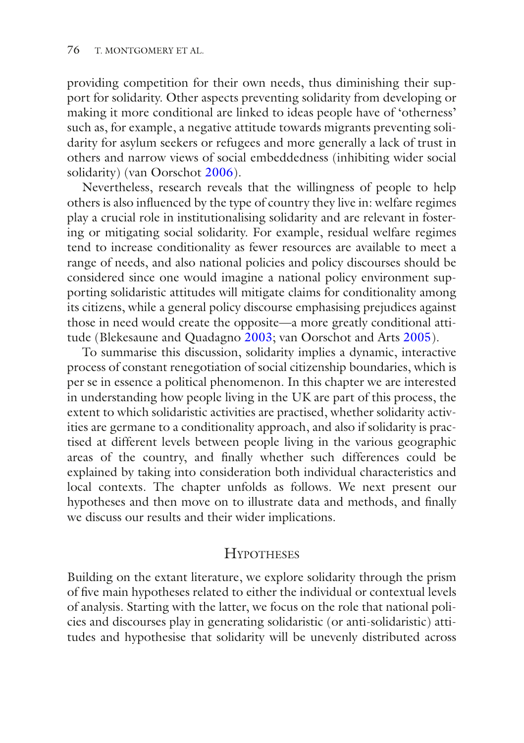providing competition for their own needs, thus diminishing their support for solidarity. Other aspects preventing solidarity from developing or making it more conditional are linked to ideas people have of 'otherness' such as, for example, a negative attitude towards migrants preventing solidarity for asylum seekers or refugees and more generally a lack of trust in others and narrow views of social embeddedness (inhibiting wider social solidarity) (van Oorschot [2006\)](#page-27-0).

Nevertheless, research reveals that the willingness of people to help others is also influenced by the type of country they live in: welfare regimes play a crucial role in institutionalising solidarity and are relevant in fostering or mitigating social solidarity. For example, residual welfare regimes tend to increase conditionality as fewer resources are available to meet a range of needs, and also national policies and policy discourses should be considered since one would imagine a national policy environment supporting solidaristic attitudes will mitigate claims for conditionality among its citizens, while a general policy discourse emphasising prejudices against those in need would create the opposite—a more greatly conditional attitude (Blekesaune and Quadagno [2003](#page-25-3); van Oorschot and Arts [2005\)](#page-28-3).

To summarise this discussion, solidarity implies a dynamic, interactive process of constant renegotiation of social citizenship boundaries, which is per se in essence a political phenomenon. In this chapter we are interested in understanding how people living in the UK are part of this process, the extent to which solidaristic activities are practised, whether solidarity activities are germane to a conditionality approach, and also if solidarity is practised at different levels between people living in the various geographic areas of the country, and finally whether such differences could be explained by taking into consideration both individual characteristics and local contexts. The chapter unfolds as follows. We next present our hypotheses and then move on to illustrate data and methods, and finally we discuss our results and their wider implications.

## **HYPOTHESES**

Building on the extant literature, we explore solidarity through the prism of five main hypotheses related to either the individual or contextual levels of analysis. Starting with the latter, we focus on the role that national policies and discourses play in generating solidaristic (or anti-solidaristic) attitudes and hypothesise that solidarity will be unevenly distributed across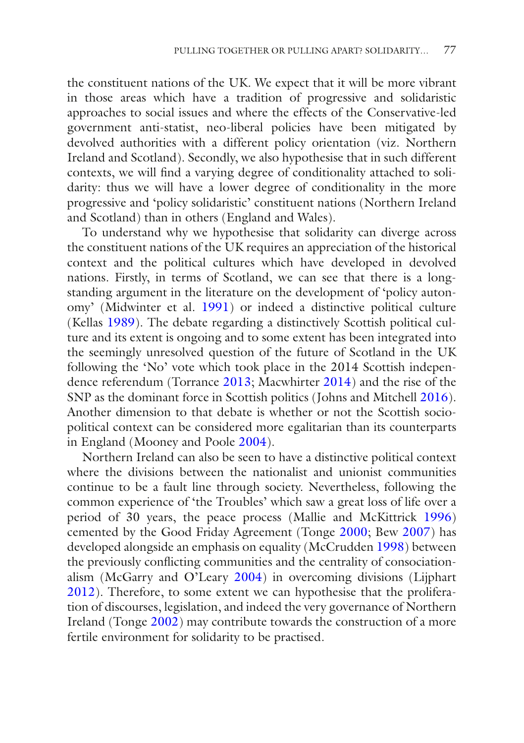the constituent nations of the UK. We expect that it will be more vibrant in those areas which have a tradition of progressive and solidaristic approaches to social issues and where the effects of the Conservative-led government anti-statist, neo-liberal policies have been mitigated by devolved authorities with a different policy orientation (viz. Northern Ireland and Scotland). Secondly, we also hypothesise that in such different contexts, we will find a varying degree of conditionality attached to solidarity: thus we will have a lower degree of conditionality in the more progressive and 'policy solidaristic' constituent nations (Northern Ireland and Scotland) than in others (England and Wales).

To understand why we hypothesise that solidarity can diverge across the constituent nations of the UK requires an appreciation of the historical context and the political cultures which have developed in devolved nations. Firstly, in terms of Scotland, we can see that there is a longstanding argument in the literature on the development of 'policy autonomy' (Midwinter et al. [1991\)](#page-27-1) or indeed a distinctive political culture (Kellas [1989](#page-26-3)). The debate regarding a distinctively Scottish political culture and its extent is ongoing and to some extent has been integrated into the seemingly unresolved question of the future of Scotland in the UK following the 'No' vote which took place in the 2014 Scottish independence referendum (Torrance [2013](#page-28-4); Macwhirter [2014\)](#page-27-2) and the rise of the SNP as the dominant force in Scottish politics (Johns and Mitchell [2016](#page-26-4)). Another dimension to that debate is whether or not the Scottish sociopolitical context can be considered more egalitarian than its counterparts in England (Mooney and Poole [2004\)](#page-27-3).

Northern Ireland can also be seen to have a distinctive political context where the divisions between the nationalist and unionist communities continue to be a fault line through society. Nevertheless, following the common experience of 'the Troubles' which saw a great loss of life over a period of 30 years, the peace process (Mallie and McKittrick [1996\)](#page-27-4) cemented by the Good Friday Agreement (Tonge [2000](#page-28-5); Bew [2007\)](#page-25-4) has developed alongside an emphasis on equality (McCrudden [1998](#page-27-5)) between the previously conflicting communities and the centrality of consociationalism (McGarry and O'Leary [2004](#page-27-6)) in overcoming divisions (Lijphart [2012](#page-27-7)). Therefore, to some extent we can hypothesise that the proliferation of discourses, legislation, and indeed the very governance of Northern Ireland (Tonge [2002](#page-28-6)) may contribute towards the construction of a more fertile environment for solidarity to be practised.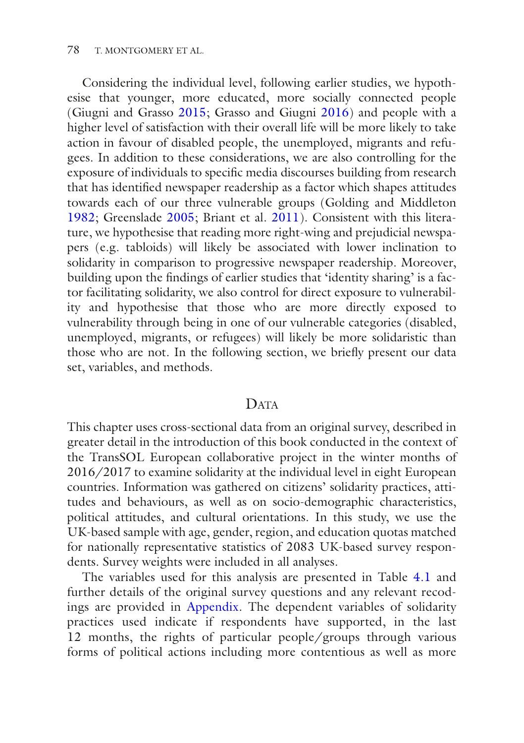Considering the individual level, following earlier studies, we hypothesise that younger, more educated, more socially connected people (Giugni and Grasso [2015](#page-26-5); Grasso and Giugni [2016\)](#page-26-6) and people with a higher level of satisfaction with their overall life will be more likely to take action in favour of disabled people, the unemployed, migrants and refugees. In addition to these considerations, we are also controlling for the exposure of individuals to specific media discourses building from research that has identified newspaper readership as a factor which shapes attitudes towards each of our three vulnerable groups (Golding and Middleton [1982](#page-26-7); Greenslade [2005;](#page-26-8) Briant et al. [2011](#page-25-5)). Consistent with this literature, we hypothesise that reading more right-wing and prejudicial newspapers (e.g. tabloids) will likely be associated with lower inclination to solidarity in comparison to progressive newspaper readership. Moreover, building upon the findings of earlier studies that 'identity sharing' is a factor facilitating solidarity, we also control for direct exposure to vulnerability and hypothesise that those who are more directly exposed to vulnerability through being in one of our vulnerable categories (disabled, unemployed, migrants, or refugees) will likely be more solidaristic than those who are not. In the following section, we briefly present our data set, variables, and methods.

## $D<sub>ATA</sub>$

This chapter uses cross-sectional data from an original survey, described in greater detail in the introduction of this book conducted in the context of the TransSOL European collaborative project in the winter months of 2016/2017 to examine solidarity at the individual level in eight European countries. Information was gathered on citizens' solidarity practices, attitudes and behaviours, as well as on socio-demographic characteristics, political attitudes, and cultural orientations. In this study, we use the UK-based sample with age, gender, region, and education quotas matched for nationally representative statistics of 2083 UK-based survey respondents. Survey weights were included in all analyses.

The variables used for this analysis are presented in Table [4.1](#page-7-0) and further details of the original survey questions and any relevant recodings are provided in [Appendix](#page-22-0). The dependent variables of solidarity practices used indicate if respondents have supported, in the last 12 months, the rights of particular people/groups through various forms of political actions including more contentious as well as more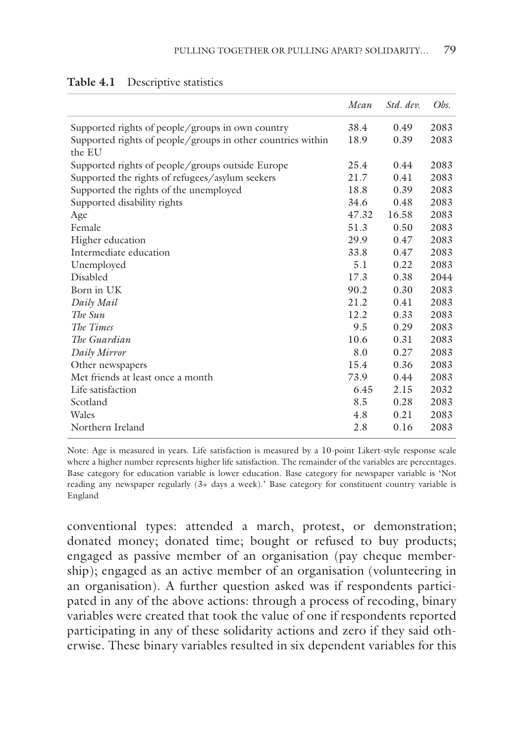|                                                                       | Mean  | Std. dev. | Ohs. |
|-----------------------------------------------------------------------|-------|-----------|------|
| Supported rights of people/groups in own country                      | 38.4  | 0.49      | 2083 |
| Supported rights of people/groups in other countries within<br>the EU | 18.9  | 0.39      | 2083 |
| Supported rights of people/groups outside Europe                      | 25.4  | 0.44      | 2083 |
| Supported the rights of refugees/asylum seekers                       | 21.7  | 0.41      | 2083 |
| Supported the rights of the unemployed                                | 18.8  | 0.39      | 2083 |
| Supported disability rights                                           | 34.6  | 0.48      | 2083 |
| Age                                                                   | 47.32 | 16.58     | 2083 |
| Female                                                                | 51.3  | 0.50      | 2083 |
| Higher education                                                      | 29.9  | 0.47      | 2083 |
| Intermediate education                                                | 33.8  | 0.47      | 2083 |
| Unemployed                                                            | 5.1   | 0.22      | 2083 |
| <b>Disabled</b>                                                       | 17.3  | 0.38      | 2044 |
| Born in UK                                                            | 90.2  | 0.30      | 2083 |
| Daily Mail                                                            | 21.2  | 0.41      | 2083 |
| The Sun                                                               | 12.2  | 0.33      | 2083 |
| The Times                                                             | 9.5   | 0.29      | 2083 |
| The Guardian                                                          | 10.6  | 0.31      | 2083 |
| Daily Mirror                                                          | 8.0   | 0.27      | 2083 |
| Other newspapers                                                      | 15.4  | 0.36      | 2083 |
| Met friends at least once a month                                     | 73.9  | 0.44      | 2083 |
| Life satisfaction                                                     | 6.45  | 2.15      | 2032 |
| Scotland                                                              | 8.5   | 0.28      | 2083 |
| Wales                                                                 | 4.8   | 0.21      | 2083 |
| Northern Ireland                                                      | 2.8   | 0.16      | 2083 |

#### <span id="page-7-0"></span>**Table 4.1** Descriptive statistics

Note: Age is measured in years. Life satisfaction is measured by a 10-point Likert-style response scale where a higher number represents higher life satisfaction. The remainder of the variables are percentages. Base category for education variable is lower education. Base category for newspaper variable is 'Not reading any newspaper regularly (3+ days a week).' Base category for constituent country variable is England

conventional types: attended a march, protest, or demonstration; donated money; donated time; bought or refused to buy products; engaged as passive member of an organisation (pay cheque membership); engaged as an active member of an organisation (volunteering in an organisation). A further question asked was if respondents participated in any of the above actions: through a process of recoding, binary variables were created that took the value of one if respondents reported participating in any of these solidarity actions and zero if they said otherwise. These binary variables resulted in six dependent variables for this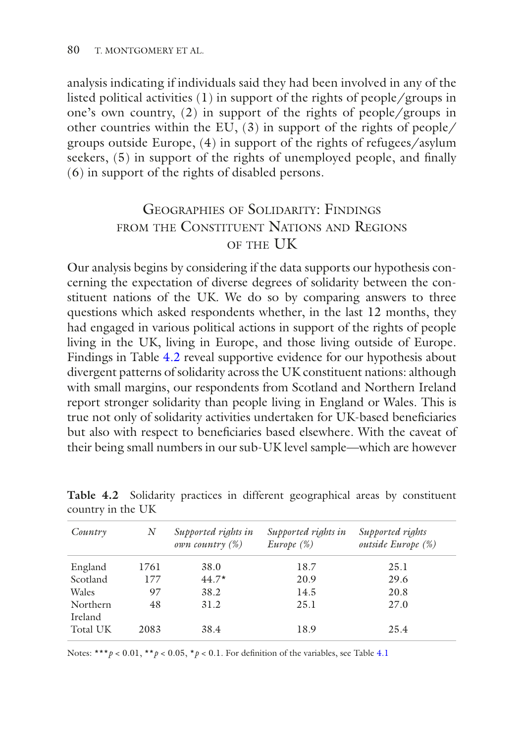analysis indicating if individuals said they had been involved in any of the listed political activities (1) in support of the rights of people/groups in one's own country, (2) in support of the rights of people/groups in other countries within the EU, (3) in support of the rights of people/ groups outside Europe, (4) in support of the rights of refugees/asylum seekers, (5) in support of the rights of unemployed people, and finally (6) in support of the rights of disabled persons.

# Geographies of Solidarity: Findings from the Constituent Nations and Regions of the UK

Our analysis begins by considering if the data supports our hypothesis concerning the expectation of diverse degrees of solidarity between the constituent nations of the UK. We do so by comparing answers to three questions which asked respondents whether, in the last 12 months, they had engaged in various political actions in support of the rights of people living in the UK, living in Europe, and those living outside of Europe. Findings in Table [4.2](#page-8-0) reveal supportive evidence for our hypothesis about divergent patterns of solidarity across the UK constituent nations: although with small margins, our respondents from Scotland and Northern Ireland report stronger solidarity than people living in England or Wales. This is true not only of solidarity activities undertaken for UK-based beneficiaries but also with respect to beneficiaries based elsewhere. With the caveat of their being small numbers in our sub-UK level sample—which are however

| N    | Supported rights in<br>own country $(\%)$ | Supported rights in<br>Europe (%) | Supported rights<br>outside Europe (%) |
|------|-------------------------------------------|-----------------------------------|----------------------------------------|
| 1761 | 38.0                                      | 18.7                              | 25.1                                   |
| 177  | $44.7*$                                   | 20.9                              | 29.6                                   |
| 97   | 38.2                                      | 14.5                              | 20.8                                   |
| 48   | 31.2                                      | 25.1                              | 27.0                                   |
| 2083 | 38.4                                      | 18.9                              | 25.4                                   |
|      |                                           |                                   |                                        |

<span id="page-8-0"></span>**Table 4.2** Solidarity practices in different geographical areas by constituent country in the UK

Notes: \*\*\**p* < 0.01, \*\**p* < 0.05, \**p* < 0.1. For definition of the variables, see Table [4.1](#page-7-0)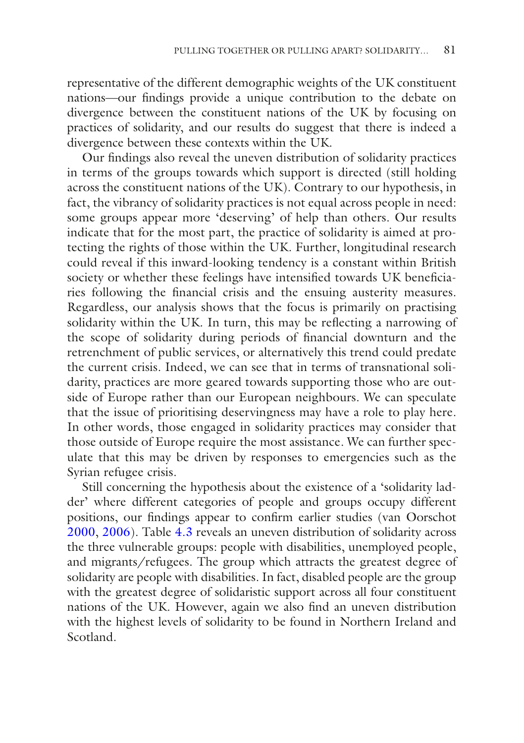representative of the different demographic weights of the UK constituent nations—our findings provide a unique contribution to the debate on divergence between the constituent nations of the UK by focusing on practices of solidarity, and our results do suggest that there is indeed a divergence between these contexts within the UK.

Our findings also reveal the uneven distribution of solidarity practices in terms of the groups towards which support is directed (still holding across the constituent nations of the UK). Contrary to our hypothesis, in fact, the vibrancy of solidarity practices is not equal across people in need: some groups appear more 'deserving' of help than others. Our results indicate that for the most part, the practice of solidarity is aimed at protecting the rights of those within the UK. Further, longitudinal research could reveal if this inward-looking tendency is a constant within British society or whether these feelings have intensified towards UK beneficiaries following the financial crisis and the ensuing austerity measures. Regardless, our analysis shows that the focus is primarily on practising solidarity within the UK. In turn, this may be reflecting a narrowing of the scope of solidarity during periods of financial downturn and the retrenchment of public services, or alternatively this trend could predate the current crisis. Indeed, we can see that in terms of transnational solidarity, practices are more geared towards supporting those who are outside of Europe rather than our European neighbours. We can speculate that the issue of prioritising deservingness may have a role to play here. In other words, those engaged in solidarity practices may consider that those outside of Europe require the most assistance. We can further speculate that this may be driven by responses to emergencies such as the Syrian refugee crisis.

Still concerning the hypothesis about the existence of a 'solidarity ladder' where different categories of people and groups occupy different positions, our findings appear to confirm earlier studies (van Oorschot [2000](#page-27-8), [2006](#page-27-0)). Table [4.3](#page-10-0) reveals an uneven distribution of solidarity across the three vulnerable groups: people with disabilities, unemployed people, and migrants/refugees. The group which attracts the greatest degree of solidarity are people with disabilities. In fact, disabled people are the group with the greatest degree of solidaristic support across all four constituent nations of the UK. However, again we also find an uneven distribution with the highest levels of solidarity to be found in Northern Ireland and Scotland.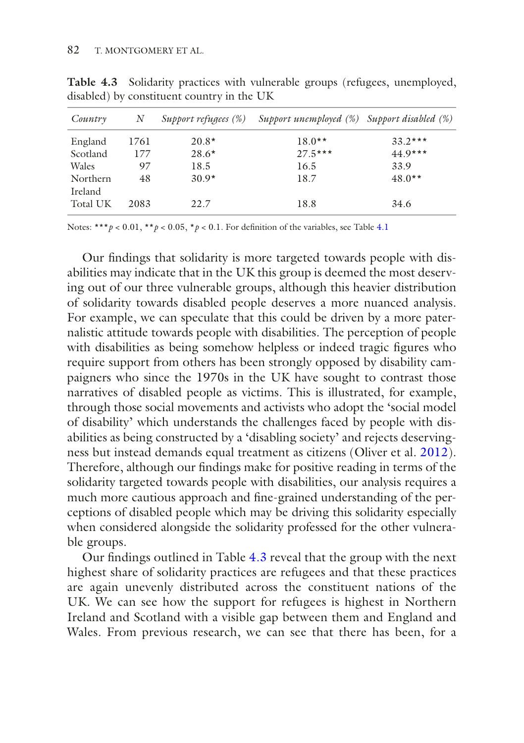| Country             | N    |         | Support refugees $(\%)$ Support unemployed $(\%)$ Support disabled $(\%)$ |           |
|---------------------|------|---------|---------------------------------------------------------------------------|-----------|
| England             | 1761 | $20.8*$ | $18.0**$                                                                  | $33.2***$ |
| Scotland            | 177  | $28.6*$ | $27.5***$                                                                 | $44.9***$ |
| Wales               | 97   | 18.5    | 16.5                                                                      | 33.9      |
| Northern<br>Ireland | 48   | $30.9*$ | 18.7                                                                      | $48.0**$  |
| <b>Total UK</b>     | 2083 | 22.7    | 18.8                                                                      | 34.6      |

<span id="page-10-0"></span>**Table 4.3** Solidarity practices with vulnerable groups (refugees, unemployed, disabled) by constituent country in the UK

Notes: \*\*\* $p < 0.01$ , \*\* $p < 0.05$ , \* $p < 0.1$ . For definition of the variables, see Table [4.1](#page-7-0)

Our findings that solidarity is more targeted towards people with disabilities may indicate that in the UK this group is deemed the most deserving out of our three vulnerable groups, although this heavier distribution of solidarity towards disabled people deserves a more nuanced analysis. For example, we can speculate that this could be driven by a more paternalistic attitude towards people with disabilities. The perception of people with disabilities as being somehow helpless or indeed tragic figures who require support from others has been strongly opposed by disability campaigners who since the 1970s in the UK have sought to contrast those narratives of disabled people as victims. This is illustrated, for example, through those social movements and activists who adopt the 'social model of disability' which understands the challenges faced by people with disabilities as being constructed by a 'disabling society' and rejects deservingness but instead demands equal treatment as citizens (Oliver et al. [2012](#page-27-9)). Therefore, although our findings make for positive reading in terms of the solidarity targeted towards people with disabilities, our analysis requires a much more cautious approach and fine-grained understanding of the perceptions of disabled people which may be driving this solidarity especially when considered alongside the solidarity professed for the other vulnerable groups.

Our findings outlined in Table [4.3](#page-10-0) reveal that the group with the next highest share of solidarity practices are refugees and that these practices are again unevenly distributed across the constituent nations of the UK. We can see how the support for refugees is highest in Northern Ireland and Scotland with a visible gap between them and England and Wales. From previous research, we can see that there has been, for a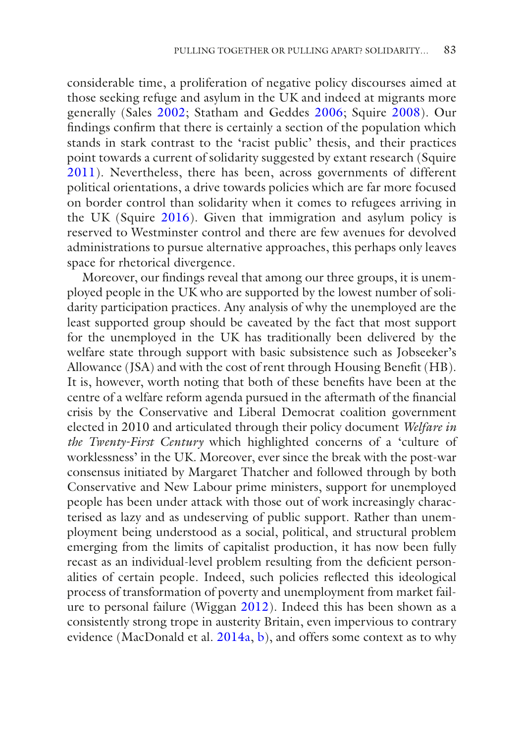considerable time, a proliferation of negative policy discourses aimed at those seeking refuge and asylum in the UK and indeed at migrants more generally (Sales [2002;](#page-27-10) Statham and Geddes [2006;](#page-28-7) Squire [2008\)](#page-27-11). Our findings confirm that there is certainly a section of the population which stands in stark contrast to the 'racist public' thesis, and their practices point towards a current of solidarity suggested by extant research (Squire [2011\)](#page-28-8). Nevertheless, there has been, across governments of different political orientations, a drive towards policies which are far more focused on border control than solidarity when it comes to refugees arriving in the UK (Squire [2016\)](#page-28-9). Given that immigration and asylum policy is reserved to Westminster control and there are few avenues for devolved administrations to pursue alternative approaches, this perhaps only leaves space for rhetorical divergence.

Moreover, our findings reveal that among our three groups, it is unemployed people in the UK who are supported by the lowest number of solidarity participation practices. Any analysis of why the unemployed are the least supported group should be caveated by the fact that most support for the unemployed in the UK has traditionally been delivered by the welfare state through support with basic subsistence such as Jobseeker's Allowance (JSA) and with the cost of rent through Housing Benefit (HB). It is, however, worth noting that both of these benefits have been at the centre of a welfare reform agenda pursued in the aftermath of the financial crisis by the Conservative and Liberal Democrat coalition government elected in 2010 and articulated through their policy document *Welfare in the Twenty-First Century* which highlighted concerns of a 'culture of worklessness' in the UK. Moreover, ever since the break with the post-war consensus initiated by Margaret Thatcher and followed through by both Conservative and New Labour prime ministers, support for unemployed people has been under attack with those out of work increasingly characterised as lazy and as undeserving of public support. Rather than unemployment being understood as a social, political, and structural problem emerging from the limits of capitalist production, it has now been fully recast as an individual-level problem resulting from the deficient personalities of certain people. Indeed, such policies reflected this ideological process of transformation of poverty and unemployment from market failure to personal failure (Wiggan [2012](#page-28-10)). Indeed this has been shown as a consistently strong trope in austerity Britain, even impervious to contrary evidence (MacDonald et al. [2014a,](#page-27-12) [b\)](#page-27-13), and offers some context as to why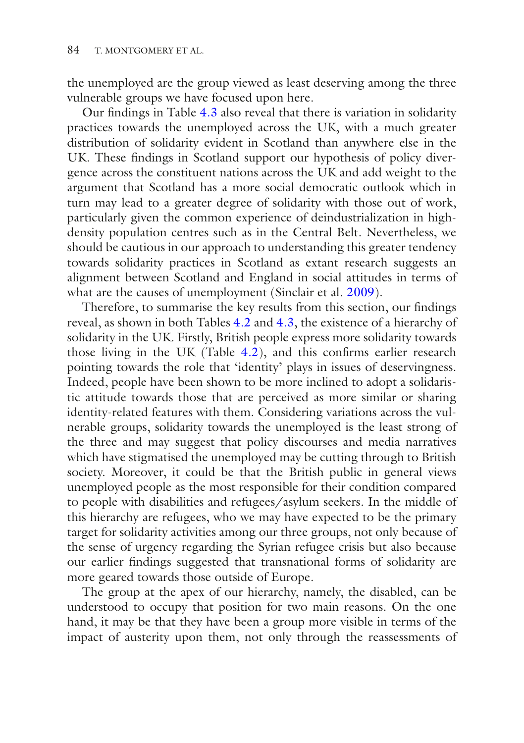the unemployed are the group viewed as least deserving among the three vulnerable groups we have focused upon here.

Our findings in Table [4.3](#page-10-0) also reveal that there is variation in solidarity practices towards the unemployed across the UK, with a much greater distribution of solidarity evident in Scotland than anywhere else in the UK. These findings in Scotland support our hypothesis of policy divergence across the constituent nations across the UK and add weight to the argument that Scotland has a more social democratic outlook which in turn may lead to a greater degree of solidarity with those out of work, particularly given the common experience of deindustrialization in highdensity population centres such as in the Central Belt. Nevertheless, we should be cautious in our approach to understanding this greater tendency towards solidarity practices in Scotland as extant research suggests an alignment between Scotland and England in social attitudes in terms of what are the causes of unemployment (Sinclair et al. [2009](#page-27-14)).

Therefore, to summarise the key results from this section, our findings reveal, as shown in both Tables [4.2](#page-8-0) and [4.3,](#page-10-0) the existence of a hierarchy of solidarity in the UK. Firstly, British people express more solidarity towards those living in the UK (Table  $4.2$ ), and this confirms earlier research pointing towards the role that 'identity' plays in issues of deservingness. Indeed, people have been shown to be more inclined to adopt a solidaristic attitude towards those that are perceived as more similar or sharing identity-related features with them. Considering variations across the vulnerable groups, solidarity towards the unemployed is the least strong of the three and may suggest that policy discourses and media narratives which have stigmatised the unemployed may be cutting through to British society. Moreover, it could be that the British public in general views unemployed people as the most responsible for their condition compared to people with disabilities and refugees/asylum seekers. In the middle of this hierarchy are refugees, who we may have expected to be the primary target for solidarity activities among our three groups, not only because of the sense of urgency regarding the Syrian refugee crisis but also because our earlier findings suggested that transnational forms of solidarity are more geared towards those outside of Europe.

The group at the apex of our hierarchy, namely, the disabled, can be understood to occupy that position for two main reasons. On the one hand, it may be that they have been a group more visible in terms of the impact of austerity upon them, not only through the reassessments of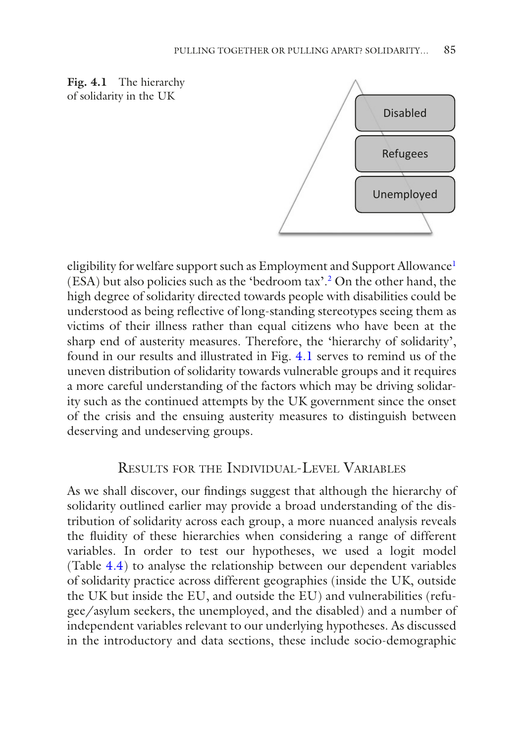<span id="page-13-0"></span>



eligibility for welfare support such as Employment and Support Allowance<sup>1</sup> (ESA) but also policies such as the 'bedroom tax'.[2](#page-25-7) On the other hand, the high degree of solidarity directed towards people with disabilities could be understood as being reflective of long-standing stereotypes seeing them as victims of their illness rather than equal citizens who have been at the sharp end of austerity measures. Therefore, the 'hierarchy of solidarity', found in our results and illustrated in Fig. [4.1](#page-13-0) serves to remind us of the uneven distribution of solidarity towards vulnerable groups and it requires a more careful understanding of the factors which may be driving solidarity such as the continued attempts by the UK government since the onset of the crisis and the ensuing austerity measures to distinguish between deserving and undeserving groups.

## Results for the Individual-Level Variables

As we shall discover, our findings suggest that although the hierarchy of solidarity outlined earlier may provide a broad understanding of the distribution of solidarity across each group, a more nuanced analysis reveals the fluidity of these hierarchies when considering a range of different variables. In order to test our hypotheses, we used a logit model (Table [4.4\)](#page-14-0) to analyse the relationship between our dependent variables of solidarity practice across different geographies (inside the UK, outside the UK but inside the EU, and outside the EU) and vulnerabilities (refugee/asylum seekers, the unemployed, and the disabled) and a number of independent variables relevant to our underlying hypotheses. As discussed in the introductory and data sections, these include socio-demographic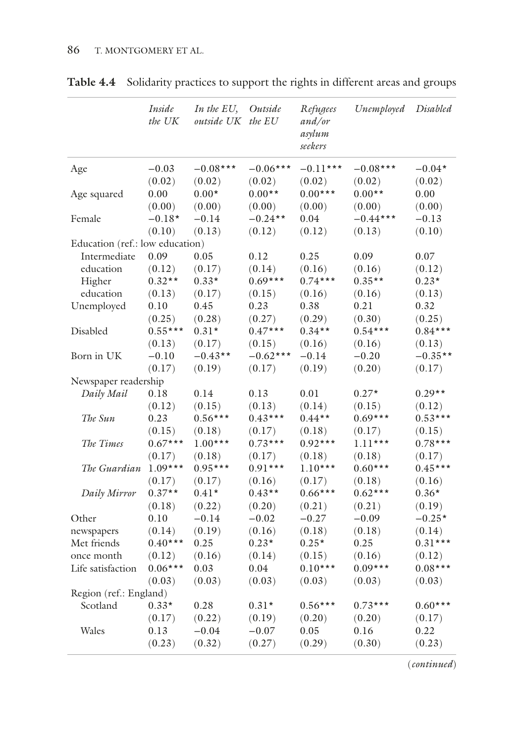|                                 | Inside<br>the UK   | In the EU,<br>outside UK the EU | Outside              | Refugees<br>and/or<br>asylum<br>seekers | Unemployed           | Disabled           |
|---------------------------------|--------------------|---------------------------------|----------------------|-----------------------------------------|----------------------|--------------------|
| Age                             | $-0.03$<br>(0.02)  | $-0.08***$<br>(0.02)            | $-0.06***$<br>(0.02) | $-0.11***$<br>(0.02)                    | $-0.08***$<br>(0.02) | $-0.04*$<br>(0.02) |
| Age squared                     | 0.00               | $0.00*$                         | $0.00**$             | $0.00***$                               | $0.00**$             | 0.00               |
|                                 | (0.00)             | (0.00)<br>$-0.14$               | (0.00)<br>$-0.24**$  | (0.00)<br>0.04                          | (0.00)<br>$-0.44***$ | (0.00)<br>$-0.13$  |
| Female                          | $-0.18*$<br>(0.10) | (0.13)                          | (0.12)               | (0.12)                                  | (0.13)               | (0.10)             |
| Education (ref.: low education) |                    |                                 |                      |                                         |                      |                    |
| Intermediate                    | 0.09               | 0.05                            | 0.12                 | 0.25                                    | 0.09                 | 0.07               |
| education                       | (0.12)             | (0.17)                          | (0.14)               | (0.16)                                  | (0.16)               | (0.12)             |
| Higher                          | $0.32**$           | $0.33*$                         | $0.69***$            | $0.74***$                               | $0.35**$             | $0.23*$            |
| education                       | (0.13)             | (0.17)                          | (0.15)               | (0.16)                                  | (0.16)               | (0.13)             |
|                                 | 0.10               | 0.45                            | 0.23                 | 0.38                                    | 0.21                 | 0.32               |
| Unemployed                      | (0.25)             | (0.28)                          | (0.27)               | (0.29)                                  | (0.30)               | (0.25)             |
| Disabled                        | $0.55***$          | $0.31*$                         | $0.47***$            | $0.34**$                                | $0.54***$            | $0.84***$          |
|                                 | (0.13)             | (0.17)                          | (0.15)               | (0.16)                                  | (0.16)               | (0.13)             |
| Born in UK                      | $-0.10$            | $-0.43**$                       | $-0.62***$           | $-0.14$                                 | $-0.20$              | $-0.35**$          |
|                                 | (0.17)             | (0.19)                          | (0.17)               | (0.19)                                  | (0.20)               | (0.17)             |
| Newspaper readership            |                    |                                 |                      |                                         |                      |                    |
| Daily Mail                      | 0.18               | 0.14                            | 0.13                 | 0.01                                    | $0.27*$              | $0.29**$           |
|                                 | (0.12)             | (0.15)                          | (0.13)               | (0.14)                                  | (0.15)               | (0.12)             |
| The Sun                         | 0.23               | $0.56***$                       | $0.43***$            | $0.44***$                               | $0.69***$            | $0.53***$          |
|                                 | (0.15)             | (0.18)                          | (0.17)               | (0.18)                                  | (0.17)               | (0.15)             |
| The Times                       | $0.67***$          | $1.00***$                       | $0.73***$            | $0.92***$                               | $1.11***$            | $0.78***$          |
|                                 | (0.17)             | (0.18)                          | (0.17)               | (0.18)                                  | (0.18)               | (0.17)             |
| The Guardian                    | $1.09***$          | $0.95***$                       | $0.91***$            | $1.10***$                               | $0.60***$            | $0.45***$          |
|                                 | (0.17)             | (0.17)                          | (0.16)               | (0.17)                                  | (0.18)               | (0.16)             |
| Daily Mirror                    | $0.37**$           | $0.41*$                         | $0.43**$             | $0.66***$                               | $0.62***$            | $0.36*$            |
|                                 | (0.18)             | (0.22)                          | (0.20)               | (0.21)                                  | (0.21)               | (0.19)             |
| Other                           | 0.10               | $-0.14$                         | $-0.02$              | $-0.27$                                 | $-0.09$              | $-0.25*$           |
| newspapers                      | (0.14)             | (0.19)                          | (0.16)               | (0.18)                                  | (0.18)               | (0.14)             |
| Met friends                     | $0.40***$          | 0.25                            | $0.23*$              | $0.25*$                                 | 0.25                 | $0.31***$          |
| once month                      | (0.12)             | (0.16)                          | (0.14)               | (0.15)                                  | (0.16)               | (0.12)             |
| Life satisfaction               | $0.06***$          | 0.03                            | 0.04                 | $0.10***$                               | $0.09***$            | $0.08***$          |
|                                 | (0.03)             | (0.03)                          | (0.03)               | (0.03)                                  | (0.03)               | (0.03)             |
| Region (ref.: England)          |                    |                                 |                      |                                         |                      |                    |
| Scotland                        | $0.33*$            | 0.28                            | $0.31*$              | $0.56***$                               | $0.73***$            | $0.60***$          |
|                                 | (0.17)             | (0.22)                          | (0.19)               | (0.20)                                  | (0.20)               | (0.17)             |
| Wales                           | 0.13               | $-0.04$                         | $-0.07$              | 0.05                                    | 0.16                 | 0.22               |
|                                 | (0.23)             | (0.32)                          | (0.27)               | (0.29)                                  | (0.30)               | (0.23)             |
|                                 |                    |                                 |                      |                                         |                      |                    |

<span id="page-14-0"></span>**Table 4.4** Solidarity practices to support the rights in different areas and groups

(*continued*)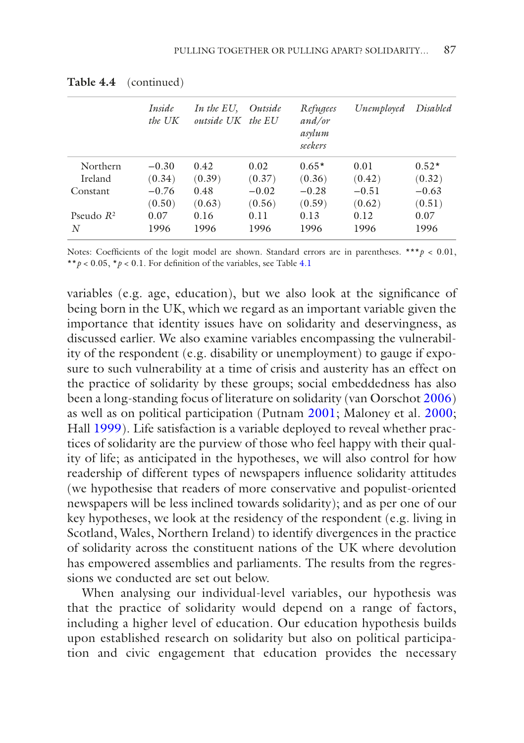|              | Inside<br>the UK | In the $EU$ ,<br>outside UK the EU | Outside | Refugees<br>and/or<br>asylum<br>seekers | Unemployed | Disabled |
|--------------|------------------|------------------------------------|---------|-----------------------------------------|------------|----------|
| Northern     | $-0.30$          | 0.42                               | 0.02    | $0.65*$                                 | 0.01       | $0.52*$  |
| Ireland      | (0.34)           | (0.39)                             | (0.37)  | (0.36)                                  | (0.42)     | (0.32)   |
| Constant     | $-0.76$          | 0.48                               | $-0.02$ | $-0.28$                                 | $-0.51$    | $-0.63$  |
|              | (0.50)           | (0.63)                             | (0.56)  | (0.59)                                  | (0.62)     | (0.51)   |
| Pseudo $R^2$ | 0.07             | 0.16                               | 0.11    | 0.13                                    | 0.12       | 0.07     |
| N            | 1996             | 1996                               | 1996    | 1996                                    | 1996       | 1996     |

**Table 4.4** (continued)

Notes: Coefficients of the logit model are shown. Standard errors are in parentheses. \*\*\**p* < 0.01, \*\* $p$  < 0.05, \* $p$  < 0.1. For definition of the variables, see Table [4.1](#page-7-0)

variables (e.g. age, education), but we also look at the significance of being born in the UK, which we regard as an important variable given the importance that identity issues have on solidarity and deservingness, as discussed earlier. We also examine variables encompassing the vulnerability of the respondent (e.g. disability or unemployment) to gauge if exposure to such vulnerability at a time of crisis and austerity has an effect on the practice of solidarity by these groups; social embeddedness has also been a long-standing focus of literature on solidarity (van Oorschot [2006\)](#page-27-0) as well as on political participation (Putnam [2001](#page-27-15); Maloney et al. [2000;](#page-27-16) Hall [1999](#page-26-9)). Life satisfaction is a variable deployed to reveal whether practices of solidarity are the purview of those who feel happy with their quality of life; as anticipated in the hypotheses, we will also control for how readership of different types of newspapers influence solidarity attitudes (we hypothesise that readers of more conservative and populist-oriented newspapers will be less inclined towards solidarity); and as per one of our key hypotheses, we look at the residency of the respondent (e.g. living in Scotland, Wales, Northern Ireland) to identify divergences in the practice of solidarity across the constituent nations of the UK where devolution has empowered assemblies and parliaments. The results from the regressions we conducted are set out below.

When analysing our individual-level variables, our hypothesis was that the practice of solidarity would depend on a range of factors, including a higher level of education. Our education hypothesis builds upon established research on solidarity but also on political participation and civic engagement that education provides the necessary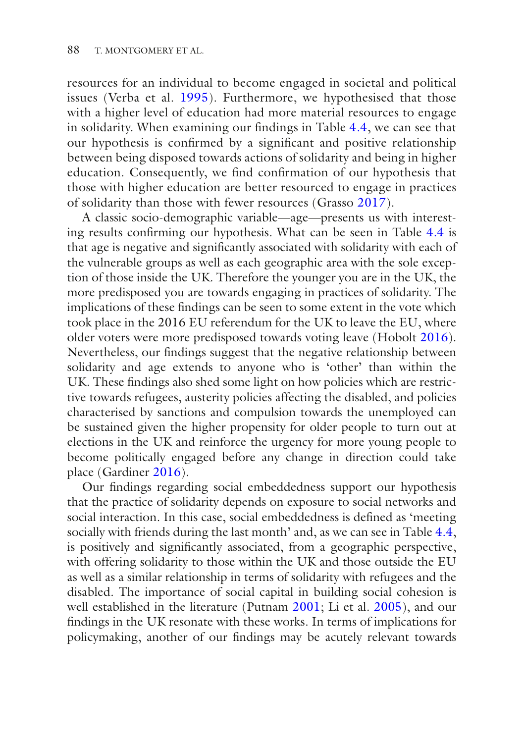resources for an individual to become engaged in societal and political issues (Verba et al. [1995](#page-28-11)). Furthermore, we hypothesised that those with a higher level of education had more material resources to engage in solidarity. When examining our findings in Table [4.4](#page-14-0), we can see that our hypothesis is confirmed by a significant and positive relationship between being disposed towards actions of solidarity and being in higher education. Consequently, we find confirmation of our hypothesis that those with higher education are better resourced to engage in practices of solidarity than those with fewer resources (Grasso [2017](#page-26-10)).

A classic socio-demographic variable—age—presents us with interesting results confirming our hypothesis. What can be seen in Table [4.4](#page-14-0) is that age is negative and significantly associated with solidarity with each of the vulnerable groups as well as each geographic area with the sole exception of those inside the UK. Therefore the younger you are in the UK, the more predisposed you are towards engaging in practices of solidarity. The implications of these findings can be seen to some extent in the vote which took place in the 2016 EU referendum for the UK to leave the EU, where older voters were more predisposed towards voting leave (Hobolt [2016](#page-26-11)). Nevertheless, our findings suggest that the negative relationship between solidarity and age extends to anyone who is 'other' than within the UK. These findings also shed some light on how policies which are restrictive towards refugees, austerity policies affecting the disabled, and policies characterised by sanctions and compulsion towards the unemployed can be sustained given the higher propensity for older people to turn out at elections in the UK and reinforce the urgency for more young people to become politically engaged before any change in direction could take place (Gardiner [2016\)](#page-26-12).

Our findings regarding social embeddedness support our hypothesis that the practice of solidarity depends on exposure to social networks and social interaction. In this case, social embeddedness is defined as 'meeting socially with friends during the last month' and, as we can see in Table [4.4,](#page-14-0) is positively and significantly associated, from a geographic perspective, with offering solidarity to those within the UK and those outside the EU as well as a similar relationship in terms of solidarity with refugees and the disabled. The importance of social capital in building social cohesion is well established in the literature (Putnam [2001;](#page-27-15) Li et al. [2005](#page-27-17)), and our findings in the UK resonate with these works. In terms of implications for policymaking, another of our findings may be acutely relevant towards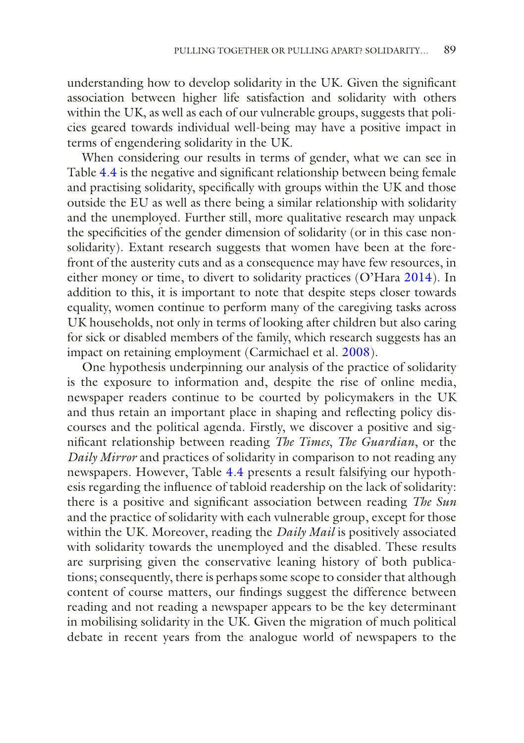understanding how to develop solidarity in the UK. Given the significant association between higher life satisfaction and solidarity with others within the UK, as well as each of our vulnerable groups, suggests that policies geared towards individual well-being may have a positive impact in terms of engendering solidarity in the UK.

When considering our results in terms of gender, what we can see in Table [4.4](#page-14-0) is the negative and significant relationship between being female and practising solidarity, specifically with groups within the UK and those outside the EU as well as there being a similar relationship with solidarity and the unemployed. Further still, more qualitative research may unpack the specificities of the gender dimension of solidarity (or in this case nonsolidarity). Extant research suggests that women have been at the forefront of the austerity cuts and as a consequence may have few resources, in either money or time, to divert to solidarity practices (O'Hara [2014](#page-27-18)). In addition to this, it is important to note that despite steps closer towards equality, women continue to perform many of the caregiving tasks across UK households, not only in terms of looking after children but also caring for sick or disabled members of the family, which research suggests has an impact on retaining employment (Carmichael et al. [2008](#page-25-8)).

One hypothesis underpinning our analysis of the practice of solidarity is the exposure to information and, despite the rise of online media, newspaper readers continue to be courted by policymakers in the UK and thus retain an important place in shaping and reflecting policy discourses and the political agenda. Firstly, we discover a positive and significant relationship between reading *The Times*, *The Guardian*, or the *Daily Mirror* and practices of solidarity in comparison to not reading any newspapers. However, Table [4.4](#page-14-0) presents a result falsifying our hypothesis regarding the influence of tabloid readership on the lack of solidarity: there is a positive and significant association between reading *The Sun* and the practice of solidarity with each vulnerable group, except for those within the UK. Moreover, reading the *Daily Mail* is positively associated with solidarity towards the unemployed and the disabled. These results are surprising given the conservative leaning history of both publications; consequently, there is perhaps some scope to consider that although content of course matters, our findings suggest the difference between reading and not reading a newspaper appears to be the key determinant in mobilising solidarity in the UK. Given the migration of much political debate in recent years from the analogue world of newspapers to the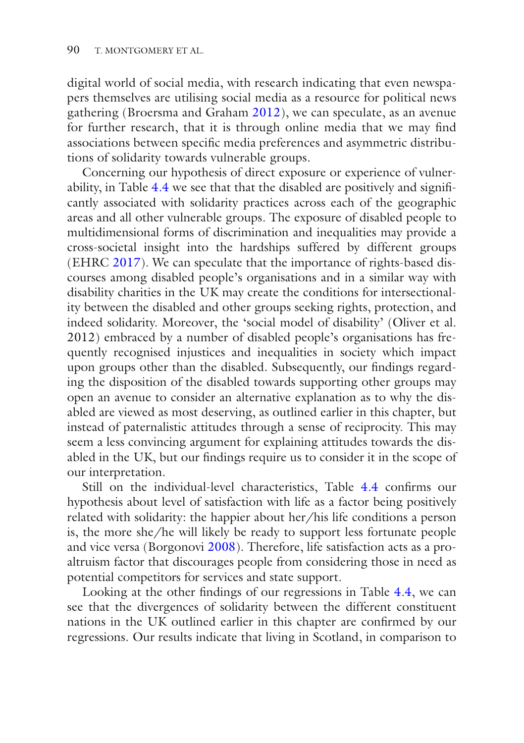digital world of social media, with research indicating that even newspapers themselves are utilising social media as a resource for political news gathering (Broersma and Graham [2012\)](#page-25-9), we can speculate, as an avenue for further research, that it is through online media that we may find associations between specific media preferences and asymmetric distributions of solidarity towards vulnerable groups.

Concerning our hypothesis of direct exposure or experience of vulnerability, in Table [4.4](#page-14-0) we see that that the disabled are positively and significantly associated with solidarity practices across each of the geographic areas and all other vulnerable groups. The exposure of disabled people to multidimensional forms of discrimination and inequalities may provide a cross-societal insight into the hardships suffered by different groups (EHRC [2017\)](#page-26-13). We can speculate that the importance of rights-based discourses among disabled people's organisations and in a similar way with disability charities in the UK may create the conditions for intersectionality between the disabled and other groups seeking rights, protection, and indeed solidarity. Moreover, the 'social model of disability' (Oliver et al. 2012) embraced by a number of disabled people's organisations has frequently recognised injustices and inequalities in society which impact upon groups other than the disabled. Subsequently, our findings regarding the disposition of the disabled towards supporting other groups may open an avenue to consider an alternative explanation as to why the disabled are viewed as most deserving, as outlined earlier in this chapter, but instead of paternalistic attitudes through a sense of reciprocity. This may seem a less convincing argument for explaining attitudes towards the disabled in the UK, but our findings require us to consider it in the scope of our interpretation.

Still on the individual-level characteristics, Table [4.4](#page-14-0) confirms our hypothesis about level of satisfaction with life as a factor being positively related with solidarity: the happier about her/his life conditions a person is, the more she/he will likely be ready to support less fortunate people and vice versa (Borgonovi [2008\)](#page-25-10). Therefore, life satisfaction acts as a proaltruism factor that discourages people from considering those in need as potential competitors for services and state support.

Looking at the other findings of our regressions in Table [4.4,](#page-14-0) we can see that the divergences of solidarity between the different constituent nations in the UK outlined earlier in this chapter are confirmed by our regressions. Our results indicate that living in Scotland, in comparison to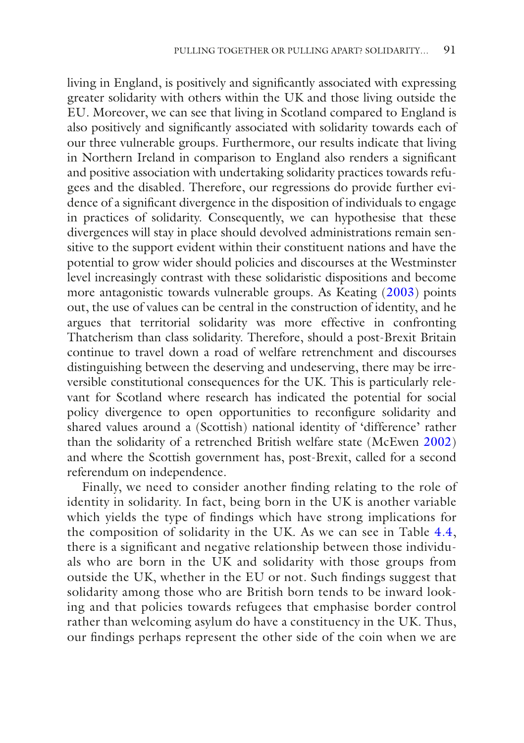living in England, is positively and significantly associated with expressing greater solidarity with others within the UK and those living outside the EU. Moreover, we can see that living in Scotland compared to England is also positively and significantly associated with solidarity towards each of our three vulnerable groups. Furthermore, our results indicate that living in Northern Ireland in comparison to England also renders a significant and positive association with undertaking solidarity practices towards refugees and the disabled. Therefore, our regressions do provide further evidence of a significant divergence in the disposition of individuals to engage in practices of solidarity. Consequently, we can hypothesise that these divergences will stay in place should devolved administrations remain sensitive to the support evident within their constituent nations and have the potential to grow wider should policies and discourses at the Westminster level increasingly contrast with these solidaristic dispositions and become more antagonistic towards vulnerable groups. As Keating ([2003\)](#page-26-14) points out, the use of values can be central in the construction of identity, and he argues that territorial solidarity was more effective in confronting Thatcherism than class solidarity. Therefore, should a post-Brexit Britain continue to travel down a road of welfare retrenchment and discourses distinguishing between the deserving and undeserving, there may be irreversible constitutional consequences for the UK. This is particularly relevant for Scotland where research has indicated the potential for social policy divergence to open opportunities to reconfigure solidarity and shared values around a (Scottish) national identity of 'difference' rather than the solidarity of a retrenched British welfare state (McEwen [2002\)](#page-27-19) and where the Scottish government has, post-Brexit, called for a second referendum on independence.

Finally, we need to consider another finding relating to the role of identity in solidarity. In fact, being born in the UK is another variable which yields the type of findings which have strong implications for the composition of solidarity in the UK. As we can see in Table [4.4,](#page-14-0) there is a significant and negative relationship between those individuals who are born in the UK and solidarity with those groups from outside the UK, whether in the EU or not. Such findings suggest that solidarity among those who are British born tends to be inward looking and that policies towards refugees that emphasise border control rather than welcoming asylum do have a constituency in the UK. Thus, our findings perhaps represent the other side of the coin when we are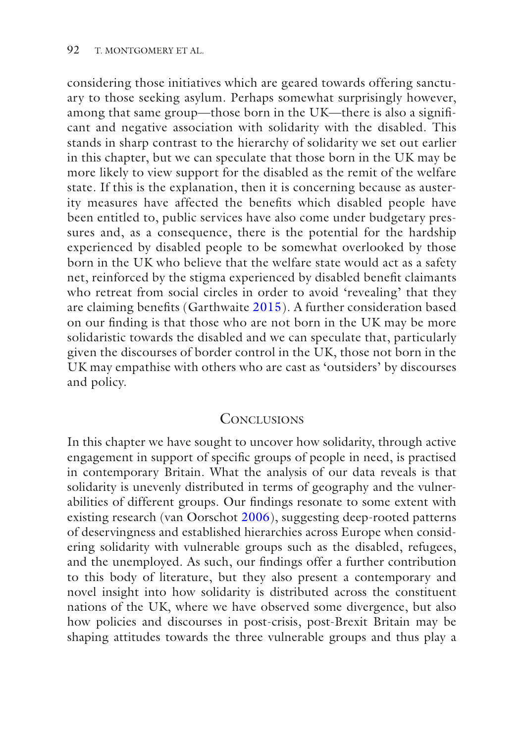considering those initiatives which are geared towards offering sanctuary to those seeking asylum. Perhaps somewhat surprisingly however, among that same group—those born in the UK—there is also a significant and negative association with solidarity with the disabled. This stands in sharp contrast to the hierarchy of solidarity we set out earlier in this chapter, but we can speculate that those born in the UK may be more likely to view support for the disabled as the remit of the welfare state. If this is the explanation, then it is concerning because as austerity measures have affected the benefits which disabled people have been entitled to, public services have also come under budgetary pressures and, as a consequence, there is the potential for the hardship experienced by disabled people to be somewhat overlooked by those born in the UK who believe that the welfare state would act as a safety net, reinforced by the stigma experienced by disabled benefit claimants who retreat from social circles in order to avoid 'revealing' that they are claiming benefits (Garthwaite [2015\)](#page-26-15). A further consideration based on our finding is that those who are not born in the UK may be more solidaristic towards the disabled and we can speculate that, particularly given the discourses of border control in the UK, those not born in the UK may empathise with others who are cast as 'outsiders' by discourses and policy.

## **CONCLUSIONS**

In this chapter we have sought to uncover how solidarity, through active engagement in support of specific groups of people in need, is practised in contemporary Britain. What the analysis of our data reveals is that solidarity is unevenly distributed in terms of geography and the vulnerabilities of different groups. Our findings resonate to some extent with existing research (van Oorschot [2006](#page-27-0)), suggesting deep-rooted patterns of deservingness and established hierarchies across Europe when considering solidarity with vulnerable groups such as the disabled, refugees, and the unemployed. As such, our findings offer a further contribution to this body of literature, but they also present a contemporary and novel insight into how solidarity is distributed across the constituent nations of the UK, where we have observed some divergence, but also how policies and discourses in post-crisis, post-Brexit Britain may be shaping attitudes towards the three vulnerable groups and thus play a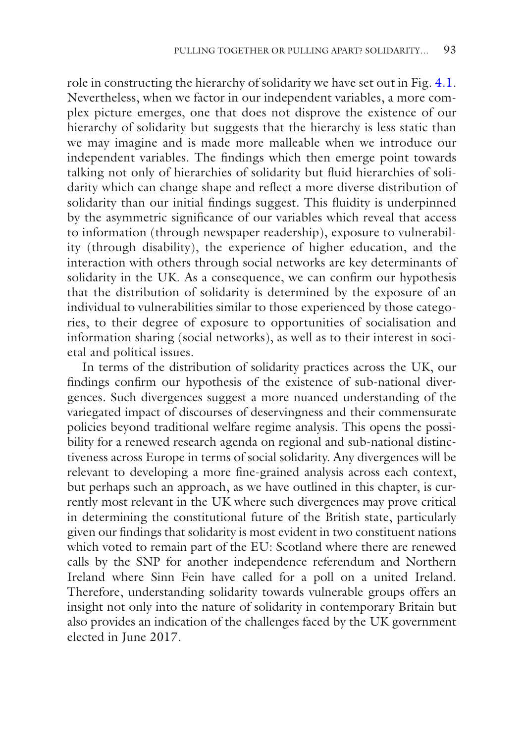role in constructing the hierarchy of solidarity we have set out in Fig. [4.1.](#page-13-0) Nevertheless, when we factor in our independent variables, a more complex picture emerges, one that does not disprove the existence of our hierarchy of solidarity but suggests that the hierarchy is less static than we may imagine and is made more malleable when we introduce our independent variables. The findings which then emerge point towards talking not only of hierarchies of solidarity but fluid hierarchies of solidarity which can change shape and reflect a more diverse distribution of solidarity than our initial findings suggest. This fluidity is underpinned by the asymmetric significance of our variables which reveal that access to information (through newspaper readership), exposure to vulnerability (through disability), the experience of higher education, and the interaction with others through social networks are key determinants of solidarity in the UK. As a consequence, we can confirm our hypothesis that the distribution of solidarity is determined by the exposure of an individual to vulnerabilities similar to those experienced by those categories, to their degree of exposure to opportunities of socialisation and information sharing (social networks), as well as to their interest in societal and political issues.

In terms of the distribution of solidarity practices across the UK, our findings confirm our hypothesis of the existence of sub-national divergences. Such divergences suggest a more nuanced understanding of the variegated impact of discourses of deservingness and their commensurate policies beyond traditional welfare regime analysis. This opens the possibility for a renewed research agenda on regional and sub-national distinctiveness across Europe in terms of social solidarity. Any divergences will be relevant to developing a more fine-grained analysis across each context, but perhaps such an approach, as we have outlined in this chapter, is currently most relevant in the UK where such divergences may prove critical in determining the constitutional future of the British state, particularly given our findings that solidarity is most evident in two constituent nations which voted to remain part of the EU: Scotland where there are renewed calls by the SNP for another independence referendum and Northern Ireland where Sinn Fein have called for a poll on a united Ireland. Therefore, understanding solidarity towards vulnerable groups offers an insight not only into the nature of solidarity in contemporary Britain but also provides an indication of the challenges faced by the UK government elected in June 2017.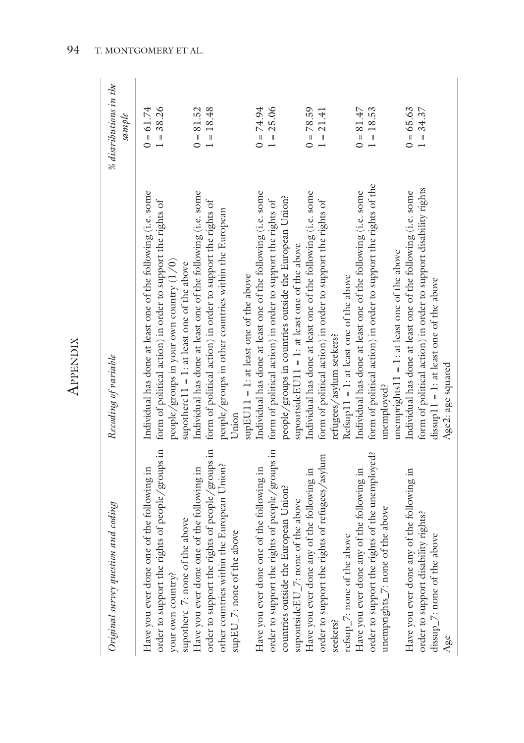<span id="page-22-0"></span>

| Original survey question and coding                                                                                                                                       | Recoding of variable                                                                                                                                                                                                     | % distributions in the<br>sample |
|---------------------------------------------------------------------------------------------------------------------------------------------------------------------------|--------------------------------------------------------------------------------------------------------------------------------------------------------------------------------------------------------------------------|----------------------------------|
| order to support the rights of people/groups in<br>Have you ever done one of the following in<br>supotherc_7: none of the above<br>your own country?                      | Individual has done at least one of the following (i.e. some<br>form of political action) in order to support the rights of<br>people/groups in your own country (1/0)<br>supotherc $11 = 1$ : at least one of the above | $0 = 61.74$<br>$1 = 38.26$       |
| order to support the rights of people/groups in<br>other countries within the European Union?<br>Have you ever done one of the following in<br>supEU_7: none of the above | Individual has done at least one of the following (i.e. some<br>form of political action) in order to support the rights of<br>people/groups in other countries within the European<br>Union                             | $0 = 81.52$<br>$1 = 18.48$       |
|                                                                                                                                                                           | $supEUI = 1$ : at least one of the above                                                                                                                                                                                 |                                  |
| Have you ever done one of the following in                                                                                                                                | Individual has done at least one of the following (i.e. some                                                                                                                                                             | $0 = 74.94$                      |
| order to support the rights of people/groups in<br>countries outside the European Union?<br>supoutside EU_7: none of the above                                            | people/groups in countries outside the European Union?<br>form of political action) in order to support the rights of<br>supoutside EU11 = 1: at least one of the above                                                  | $1 = 25.06$                      |
| Have you ever done any of the following in                                                                                                                                | Individual has done at least one of the following (i.e. some                                                                                                                                                             | $0 = 78.59$                      |
| order to support the rights of refugees/asylum<br>seekers?                                                                                                                | form of political action) in order to support the rights of<br>refugees/asylum seekers?                                                                                                                                  | $1 = 21.41$                      |
| refsup_7: none of the above                                                                                                                                               | Refsup11 = 1: at least one of the above                                                                                                                                                                                  |                                  |
| Have you ever done any of the following in                                                                                                                                | Individual has done at least one of the following (i.e. some                                                                                                                                                             | $0 = 81.47$                      |
| order to support the rights of the unemployed?                                                                                                                            | form of political action) in order to support the rights of the                                                                                                                                                          | $1 = 18.53$                      |
| unemprights_7: none of the above                                                                                                                                          | unemployed?                                                                                                                                                                                                              |                                  |
|                                                                                                                                                                           | unemprights $11 = 1$ : at least one of the above                                                                                                                                                                         |                                  |
| Have you ever done any of the following in                                                                                                                                | Individual has done at least one of the following (i.e. some                                                                                                                                                             | $0 = 65.63$                      |
| order to support disability rights?                                                                                                                                       | form of political action) in order to support disability rights                                                                                                                                                          | $1 = 34.37$                      |
| dissup_7: none of the above                                                                                                                                               | dissup11 = 1: at least one of the above                                                                                                                                                                                  |                                  |
| Age                                                                                                                                                                       | Age2: age squared                                                                                                                                                                                                        |                                  |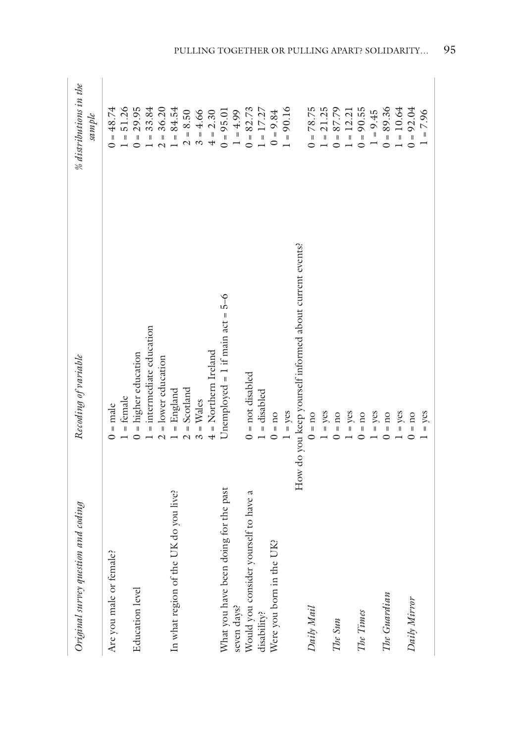| Original survey question and coding   | Recoding of variable                                    | % distributions in the<br>sample |
|---------------------------------------|---------------------------------------------------------|----------------------------------|
|                                       |                                                         |                                  |
| Are you male or female?               | $0 = male$                                              | $0 = 48.74$                      |
|                                       | $1 = female$                                            | $1 = 51.26$                      |
| <b>Education</b> level                | $0 = higher education$                                  | $0 = 29.95$                      |
|                                       | $1 =$ intermediate education                            | $1 = 33.84$                      |
|                                       | $2 =$ lower education                                   | $2 = 36.20$                      |
| In what region of the UK do you live? | $1 =$ England                                           | $1 = 84.54$                      |
|                                       | $2 =$ Scotland                                          | $2 = 8.50$                       |
|                                       | $3$ = Wales                                             | $3 = 4.66$                       |
|                                       | $4$ = Northern Ireland                                  | $4 = 2.30$                       |
| What you have been doing for the past | Unemployed = 1 if main act = $5-6$                      | $0 = 95.01$                      |
| seven days?                           |                                                         | $1 = 4.99$                       |
| Would you consider yourself to have a | $0 = not disabled$                                      | $0 = 82.73$                      |
| disability?                           | $1 =$ disabled                                          | $1 = 17.27$                      |
| Were you born in the UK?              | $0 = n \circ$                                           | $0 = 9.84$                       |
|                                       | $1 = y \cos$                                            | $1 = 90.16$                      |
|                                       | How do you keep yourself informed about current events? |                                  |
| Daily Mail                            | $0 = no$                                                | $0 = 78.75$                      |
|                                       | $1 = yes$                                               | $1 = 21.25$                      |
| The Sun                               | $0 = \text{no}$                                         | $0 = 87.79$                      |
|                                       | $1 = y \cos$                                            | $1 = 12.21$                      |
| The Times                             | $0 = n \circ$                                           | $0 = 90.55$                      |
|                                       | $1 = y \cos$                                            | $1 = 9.45$                       |
| The Guardian                          | $0 = n \circ$                                           | $0 = 89.36$                      |
|                                       | $1 = y \cos$                                            | $1 = 10.64$                      |
| Daily Mirror                          | $0 = n \circ$                                           | $0 = 92.04$                      |
|                                       | $=$ yes                                                 | $1 = 7.96$                       |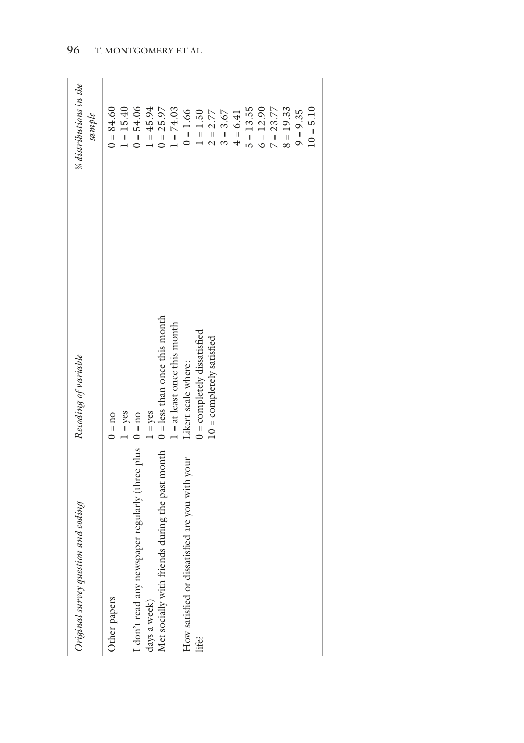| Original survey question and coding                                             | Recoding of variable                                 | % distributions in the<br>sample |
|---------------------------------------------------------------------------------|------------------------------------------------------|----------------------------------|
| Other papers                                                                    | $1 = y \text{cs}$<br>$0 = no$                        | $0 = 84.60$<br>$1 = 15.40$       |
| I don't read any newspaper regularly (three plus 0 = no<br>days a week)         | $l = ves$                                            | $0 = 54.06$<br>$1 = 45.94$       |
| Met socially with friends during the past month $0 =$ less than once this month | $1 = at least once this month$                       | $1 = 74.03$<br>$0 = 25.97$       |
| How satisfied or dissatisfied are you with your<br>life?                        | $0 =$ completely dissatisfied<br>Likert scale where: | $0 = 1.66$<br>$1 = 1.50$         |
|                                                                                 | $10 =$ completely satisfied                          | $2 = 2.77$<br>$3 = 3.67$         |
|                                                                                 |                                                      | $4 = 6.41$                       |
|                                                                                 |                                                      | $5 = 13.55$<br>$6 = 12.90$       |
|                                                                                 |                                                      | $7 = 23.77$<br>$8 = 19.33$       |
|                                                                                 |                                                      | $10 = 5.10$<br>$9 = 9.35$        |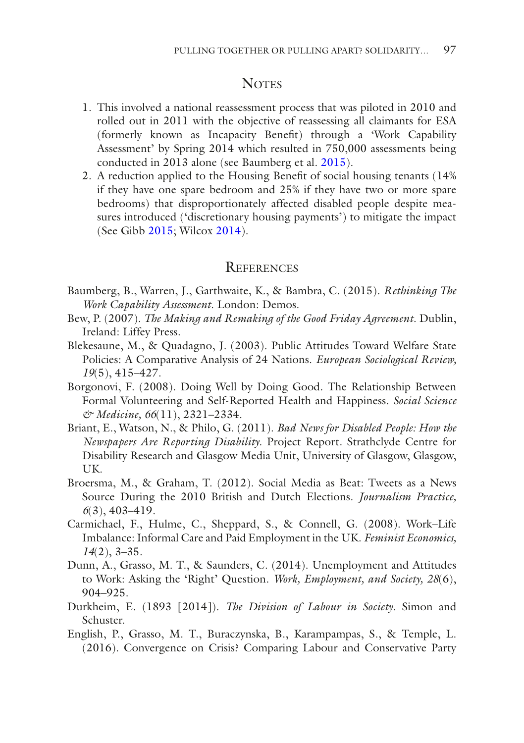## **NOTES**

- <span id="page-25-6"></span>1. This involved a national reassessment process that was piloted in 2010 and rolled out in 2011 with the objective of reassessing all claimants for ESA (formerly known as Incapacity Benefit) through a 'Work Capability Assessment' by Spring 2014 which resulted in 750,000 assessments being conducted in 2013 alone (see Baumberg et al. [2015](#page-25-11)).
- <span id="page-25-7"></span>2. A reduction applied to the Housing Benefit of social housing tenants (14% if they have one spare bedroom and 25% if they have two or more spare bedrooms) that disproportionately affected disabled people despite measures introduced ('discretionary housing payments') to mitigate the impact (See Gibb [2015;](#page-26-16) Wilcox [2014](#page-28-12)).

### **REFERENCES**

- <span id="page-25-11"></span>Baumberg, B., Warren, J., Garthwaite, K., & Bambra, C. (2015). *Rethinking The Work Capability Assessment*. London: Demos.
- <span id="page-25-4"></span>Bew, P. (2007). *The Making and Remaking of the Good Friday Agreement*. Dublin, Ireland: Liffey Press.
- <span id="page-25-3"></span>Blekesaune, M., & Quadagno, J. (2003). Public Attitudes Toward Welfare State Policies: A Comparative Analysis of 24 Nations. *European Sociological Review, 19*(5), 415–427.
- <span id="page-25-10"></span>Borgonovi, F. (2008). Doing Well by Doing Good. The Relationship Between Formal Volunteering and Self-Reported Health and Happiness. *Social Science & Medicine, 66*(11), 2321–2334.
- <span id="page-25-5"></span>Briant, E., Watson, N., & Philo, G. (2011). *Bad News for Disabled People: How the Newspapers Are Reporting Disability*. Project Report. Strathclyde Centre for Disability Research and Glasgow Media Unit, University of Glasgow, Glasgow, UK.
- <span id="page-25-9"></span>Broersma, M., & Graham, T. (2012). Social Media as Beat: Tweets as a News Source During the 2010 British and Dutch Elections. *Journalism Practice, 6*(3), 403–419.
- <span id="page-25-8"></span>Carmichael, F., Hulme, C., Sheppard, S., & Connell, G. (2008). Work–Life Imbalance: Informal Care and Paid Employment in the UK. *Feminist Economics, 14*(2), 3–35.
- <span id="page-25-2"></span>Dunn, A., Grasso, M. T., & Saunders, C. (2014). Unemployment and Attitudes to Work: Asking the 'Right' Question. *Work, Employment, and Society, 28*(6), 904–925.
- <span id="page-25-0"></span>Durkheim, E. (1893 [2014]). *The Division of Labour in Society*. Simon and Schuster.
- <span id="page-25-1"></span>English, P., Grasso, M. T., Buraczynska, B., Karampampas, S., & Temple, L. (2016). Convergence on Crisis? Comparing Labour and Conservative Party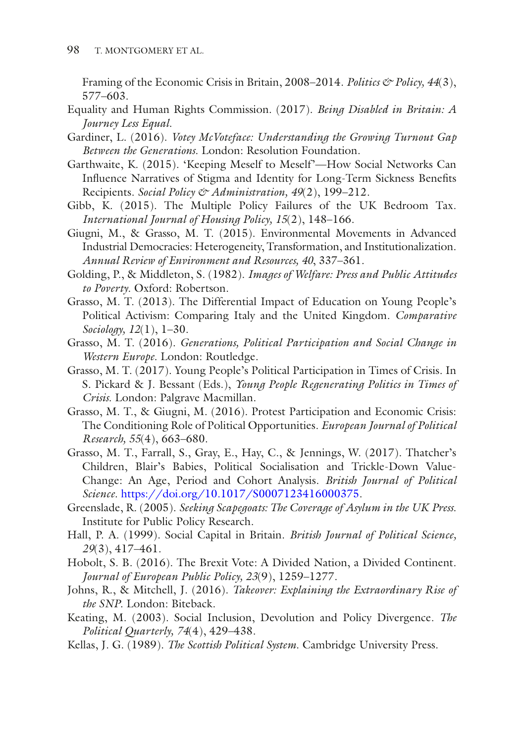Framing of the Economic Crisis in Britain, 2008–2014. *Politics & Policy, 44*(3), 577–603.

- <span id="page-26-13"></span>Equality and Human Rights Commission. (2017). *Being Disabled in Britain: A Journey Less Equal*.
- <span id="page-26-12"></span>Gardiner, L. (2016). *Votey McVoteface: Understanding the Growing Turnout Gap Between the Generations*. London: Resolution Foundation.
- <span id="page-26-15"></span>Garthwaite, K. (2015). 'Keeping Meself to Meself'—How Social Networks Can Influence Narratives of Stigma and Identity for Long-Term Sickness Benefits Recipients. *Social Policy & Administration, 49*(2), 199–212.
- <span id="page-26-16"></span>Gibb, K. (2015). The Multiple Policy Failures of the UK Bedroom Tax. *International Journal of Housing Policy, 15*(2), 148–166.
- <span id="page-26-5"></span>Giugni, M., & Grasso, M. T. (2015). Environmental Movements in Advanced Industrial Democracies: Heterogeneity, Transformation, and Institutionalization. *Annual Review of Environment and Resources, 40*, 337–361.
- <span id="page-26-7"></span>Golding, P., & Middleton, S. (1982). *Images of Welfare: Press and Public Attitudes to Poverty*. Oxford: Robertson.
- <span id="page-26-1"></span>Grasso, M. T. (2013). The Differential Impact of Education on Young People's Political Activism: Comparing Italy and the United Kingdom. *Comparative Sociology, 12*(1), 1–30.
- <span id="page-26-2"></span>Grasso, M. T. (2016). *Generations, Political Participation and Social Change in Western Europe*. London: Routledge.
- <span id="page-26-10"></span>Grasso, M. T. (2017). Young People's Political Participation in Times of Crisis. In S. Pickard & J. Bessant (Eds.), *Young People Regenerating Politics in Times of Crisis*. London: Palgrave Macmillan.
- <span id="page-26-6"></span>Grasso, M. T., & Giugni, M. (2016). Protest Participation and Economic Crisis: The Conditioning Role of Political Opportunities. *European Journal of Political Research, 55*(4), 663–680.
- <span id="page-26-0"></span>Grasso, M. T., Farrall, S., Gray, E., Hay, C., & Jennings, W. (2017). Thatcher's Children, Blair's Babies, Political Socialisation and Trickle-Down Value-Change: An Age, Period and Cohort Analysis. *British Journal of Political Science*. [https://doi.org/10.1017/S0007123416000375.](https://doi.org/10.1017/S0007123416000375)
- <span id="page-26-8"></span>Greenslade, R. (2005). *Seeking Scapegoats: The Coverage of Asylum in the UK Press*. Institute for Public Policy Research.
- <span id="page-26-9"></span>Hall, P. A. (1999). Social Capital in Britain. *British Journal of Political Science, 29*(3), 417–461.
- <span id="page-26-11"></span>Hobolt, S. B. (2016). The Brexit Vote: A Divided Nation, a Divided Continent. *Journal of European Public Policy, 23*(9), 1259–1277.
- <span id="page-26-4"></span>Johns, R., & Mitchell, J. (2016). *Takeover: Explaining the Extraordinary Rise of the SNP*. London: Biteback.
- <span id="page-26-14"></span>Keating, M. (2003). Social Inclusion, Devolution and Policy Divergence. *The Political Quarterly, 74*(4), 429–438.
- <span id="page-26-3"></span>Kellas, J. G. (1989). *The Scottish Political System*. Cambridge University Press.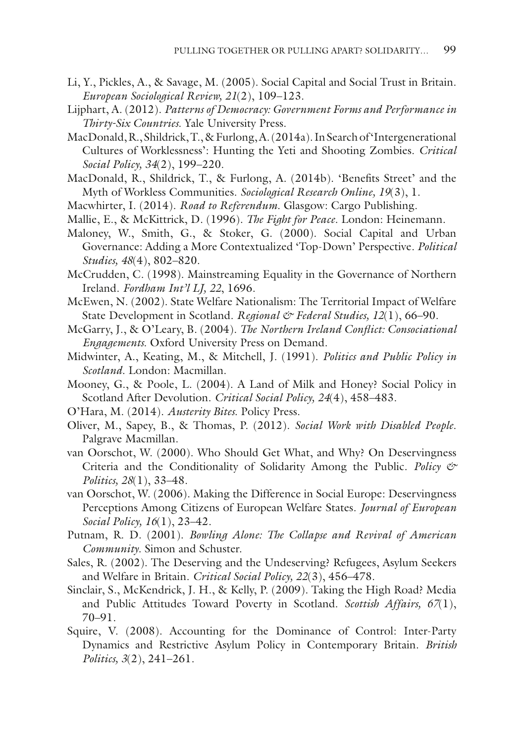- <span id="page-27-17"></span>Li, Y., Pickles, A., & Savage, M. (2005). Social Capital and Social Trust in Britain. *European Sociological Review, 21*(2), 109–123.
- <span id="page-27-7"></span>Lijphart, A. (2012). *Patterns of Democracy: Government Forms and Performance in Thirty-Six Countries*. Yale University Press.
- <span id="page-27-12"></span>MacDonald, R., Shildrick, T., & Furlong, A. (2014a). In Search of 'Intergenerational Cultures of Worklessness': Hunting the Yeti and Shooting Zombies. *Critical Social Policy, 34*(2), 199–220.
- <span id="page-27-13"></span>MacDonald, R., Shildrick, T., & Furlong, A. (2014b). 'Benefits Street' and the Myth of Workless Communities. *Sociological Research Online, 19*(3), 1.
- <span id="page-27-2"></span>Macwhirter, I. (2014). *Road to Referendum*. Glasgow: Cargo Publishing.
- <span id="page-27-4"></span>Mallie, E., & McKittrick, D. (1996). *The Fight for Peace*. London: Heinemann.
- <span id="page-27-16"></span>Maloney, W., Smith, G., & Stoker, G. (2000). Social Capital and Urban Governance: Adding a More Contextualized 'Top-Down' Perspective. *Political Studies, 48*(4), 802–820.
- <span id="page-27-5"></span>McCrudden, C. (1998). Mainstreaming Equality in the Governance of Northern Ireland. *Fordham Int'l LJ, 22*, 1696.
- <span id="page-27-19"></span>McEwen, N. (2002). State Welfare Nationalism: The Territorial Impact of Welfare State Development in Scotland. *Regional & Federal Studies*, 12(1), 66-90.
- <span id="page-27-6"></span>McGarry, J., & O'Leary, B. (2004). *The Northern Ireland Conflict: Consociational Engagements*. Oxford University Press on Demand.
- <span id="page-27-1"></span>Midwinter, A., Keating, M., & Mitchell, J. (1991). *Politics and Public Policy in Scotland*. London: Macmillan.
- <span id="page-27-3"></span>Mooney, G., & Poole, L. (2004). A Land of Milk and Honey? Social Policy in Scotland After Devolution. *Critical Social Policy, 24*(4), 458–483.
- <span id="page-27-18"></span>O'Hara, M. (2014). *Austerity Bites*. Policy Press.
- <span id="page-27-9"></span>Oliver, M., Sapey, B., & Thomas, P. (2012). *Social Work with Disabled People*. Palgrave Macmillan.
- <span id="page-27-8"></span>van Oorschot, W. (2000). Who Should Get What, and Why? On Deservingness Criteria and the Conditionality of Solidarity Among the Public. *Policy & Politics, 28*(1), 33–48.
- <span id="page-27-0"></span>van Oorschot, W. (2006). Making the Difference in Social Europe: Deservingness Perceptions Among Citizens of European Welfare States. *Journal of European Social Policy, 16*(1), 23–42.
- <span id="page-27-15"></span>Putnam, R. D. (2001). *Bowling Alone: The Collapse and Revival of American Community*. Simon and Schuster.
- <span id="page-27-10"></span>Sales, R. (2002). The Deserving and the Undeserving? Refugees, Asylum Seekers and Welfare in Britain. *Critical Social Policy, 22*(3), 456–478.
- <span id="page-27-14"></span>Sinclair, S., McKendrick, J. H., & Kelly, P. (2009). Taking the High Road? Media and Public Attitudes Toward Poverty in Scotland. *Scottish Affairs, 67*(1), 70–91.
- <span id="page-27-11"></span>Squire, V. (2008). Accounting for the Dominance of Control: Inter-Party Dynamics and Restrictive Asylum Policy in Contemporary Britain. *British Politics, 3*(2), 241–261.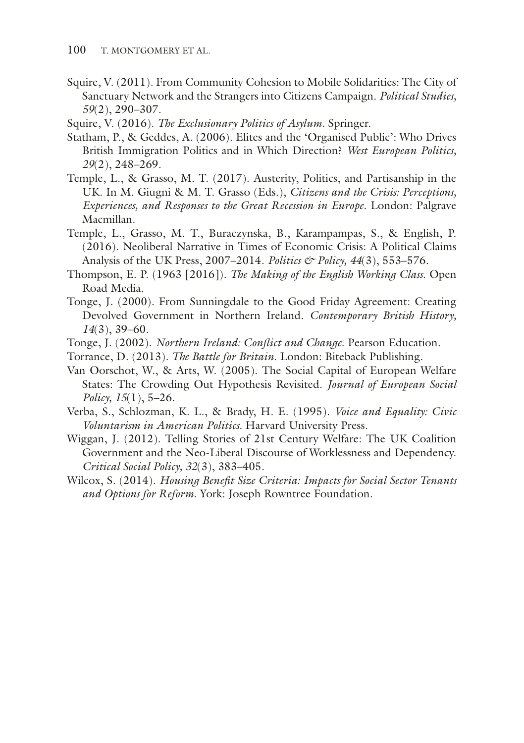- <span id="page-28-8"></span>Squire, V. (2011). From Community Cohesion to Mobile Solidarities: The City of Sanctuary Network and the Strangers into Citizens Campaign. *Political Studies, 59*(2), 290–307.
- <span id="page-28-9"></span>Squire, V. (2016). *The Exclusionary Politics of Asylum*. Springer.
- <span id="page-28-7"></span>Statham, P., & Geddes, A. (2006). Elites and the 'Organised Public': Who Drives British Immigration Politics and in Which Direction? *West European Politics, 29*(2), 248–269.
- <span id="page-28-0"></span>Temple, L., & Grasso, M. T. (2017). Austerity, Politics, and Partisanship in the UK. In M. Giugni & M. T. Grasso (Eds.), *Citizens and the Crisis: Perceptions, Experiences, and Responses to the Great Recession in Europe*. London: Palgrave Macmillan.
- <span id="page-28-2"></span>Temple, L., Grasso, M. T., Buraczynska, B., Karampampas, S., & English, P. (2016). Neoliberal Narrative in Times of Economic Crisis: A Political Claims Analysis of the UK Press, 2007–2014. *Politics & Policy, 44*(3), 553–576.
- <span id="page-28-1"></span>Thompson, E. P. (1963 [2016]). *The Making of the English Working Class*. Open Road Media.
- <span id="page-28-5"></span>Tonge, J. (2000). From Sunningdale to the Good Friday Agreement: Creating Devolved Government in Northern Ireland. *Contemporary British History, 14*(3), 39–60.
- <span id="page-28-6"></span>Tonge, J. (2002). *Northern Ireland: Conflict and Change*. Pearson Education.
- <span id="page-28-4"></span>Torrance, D. (2013). *The Battle for Britain*. London: Biteback Publishing.
- <span id="page-28-3"></span>Van Oorschot, W., & Arts, W. (2005). The Social Capital of European Welfare States: The Crowding Out Hypothesis Revisited. *Journal of European Social Policy, 15*(1), 5–26.
- <span id="page-28-11"></span>Verba, S., Schlozman, K. L., & Brady, H. E. (1995). *Voice and Equality: Civic Voluntarism in American Politics*. Harvard University Press.
- <span id="page-28-10"></span>Wiggan, J. (2012). Telling Stories of 21st Century Welfare: The UK Coalition Government and the Neo-Liberal Discourse of Worklessness and Dependency. *Critical Social Policy, 32*(3), 383–405.
- <span id="page-28-12"></span>Wilcox, S. (2014). *Housing Benefit Size Criteria: Impacts for Social Sector Tenants and Options for Reform*. York: Joseph Rowntree Foundation.